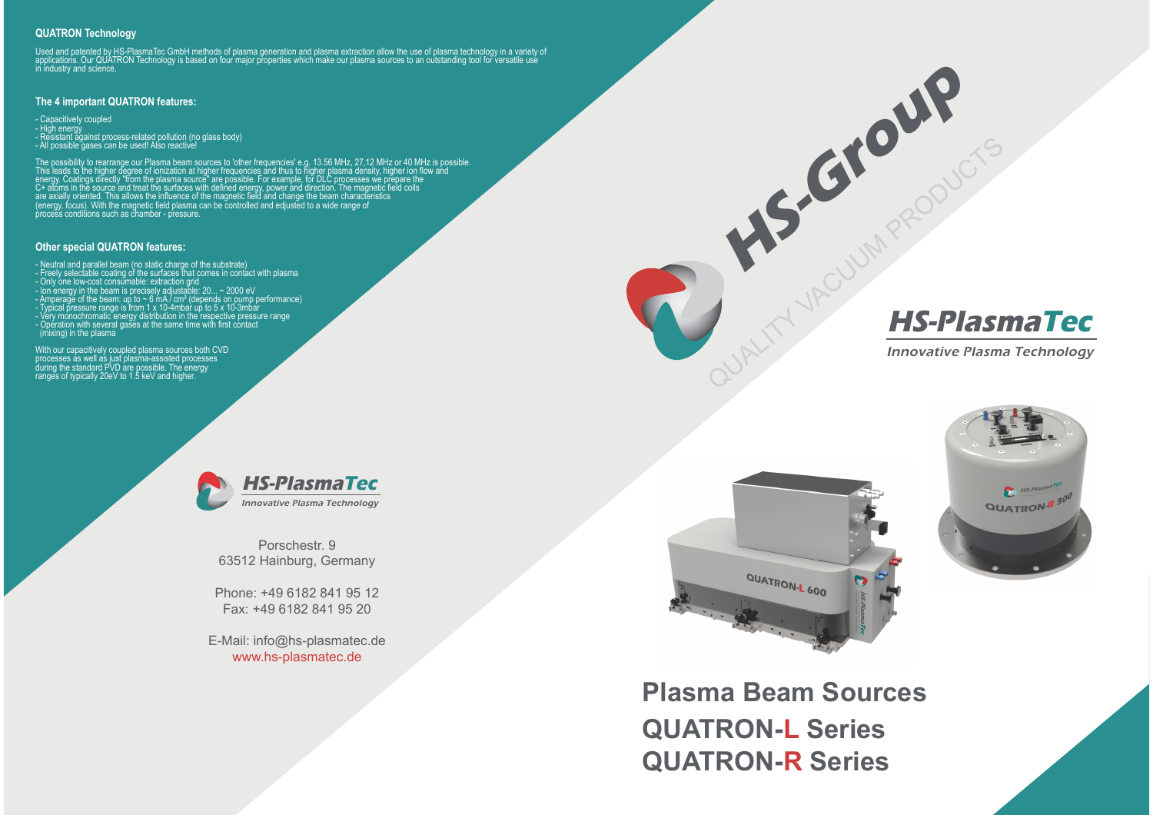## **QUATRON Technology**

Used and patented by HS-PlasmaTec GmbH methods of plasma generation and plasma extraction allow the use of plasma technology in a variety of<br>applications. Our QUATRON Technology is based on four major properties which make

## **The 4 important QUATRON features:**

- Capacitively coupled- High energy<br>- Resistant against process-related pollution (no glass body)<br>- All possible gases can be used! Also reactive!

The possibility to rearrange our Plasma beam sources to 'other frequencies' e.g. 13.56 MHz, 27,12 MHz or 40 MHz is possible.<br>This leads to the higher degree of ionization at higher frequencies and thus to higher plasma den

## **Other special QUATRON features:**

- Neutral and parallel beam (no static charge of the substrate)<br>- Freely selectable coating of the surfaces that comes in contact with plasma<br>- Only one low-cost consumable: extraction grid<br>- lon energy in the beam is pre

With our capacitively coupled plasma sources both CVD<br>processes as well as just plasma-assisted processes<br>during the standard PVD are possible. The energy<br>ranges of typically 20eV to 1.5 keV and higher.



Porschestr. 963512 Hainburg, Germany

Phone: +49 6182 841 95 12Fax: +49 6182 841 95 20

E-Mail: info@hs-plasmatec.dewww.hs-plasmatec.de



**HS-Group** 



Innovative Plasma Technology



**Plasma Beam SourcesQUATRON-L Series QUATRON-R Series**